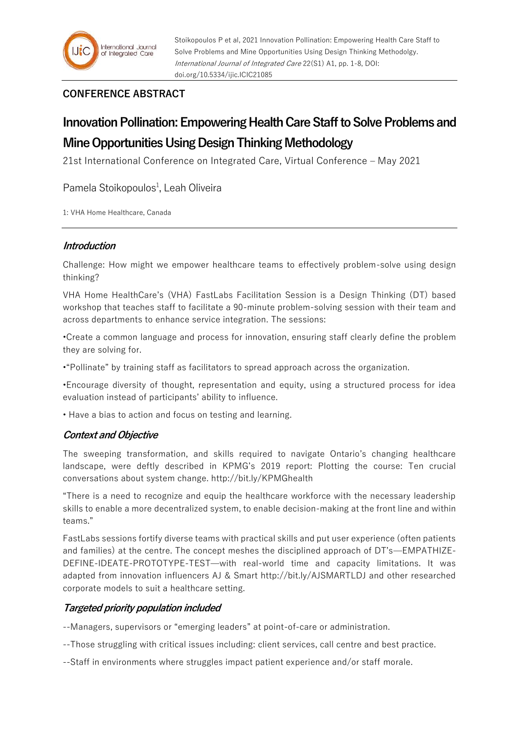# **CONFERENCE ABSTRACT**

# **Innovation Pollination: Empowering Health Care Staff to Solve Problems and Mine Opportunities Using Design Thinking Methodology**

21st International Conference on Integrated Care, Virtual Conference – May 2021

Pamela Stoikopoulos<sup>1</sup>, Leah Oliveira

1: VHA Home Healthcare, Canada

#### **Introduction**

Challenge: How might we empower healthcare teams to effectively problem-solve using design thinking?

VHA Home HealthCare's (VHA) FastLabs Facilitation Session is a Design Thinking (DT) based workshop that teaches staff to facilitate a 90-minute problem-solving session with their team and across departments to enhance service integration. The sessions:

•Create a common language and process for innovation, ensuring staff clearly define the problem they are solving for.

•"Pollinate" by training staff as facilitators to spread approach across the organization.

•Encourage diversity of thought, representation and equity, using a structured process for idea evaluation instead of participants' ability to influence.

• Have a bias to action and focus on testing and learning.

## **Context and Objective**

The sweeping transformation, and skills required to navigate Ontario's changing healthcare landscape, were deftly described in KPMG's 2019 report: Plotting the course: Ten crucial conversations about system change. http://bit.ly/KPMGhealth

"There is a need to recognize and equip the healthcare workforce with the necessary leadership skills to enable a more decentralized system, to enable decision-making at the front line and within teams."

FastLabs sessions fortify diverse teams with practical skills and put user experience (often patients and families) at the centre. The concept meshes the disciplined approach of DT's—EMPATHIZE-DEFINE-IDEATE-PROTOTYPE-TEST—with real-world time and capacity limitations. It was adapted from innovation influencers AJ & Smart http://bit.ly/AJSMARTLDJ and other researched corporate models to suit a healthcare setting.

## **Targeted priority population included**

--Managers, supervisors or "emerging leaders" at point-of-care or administration.

- --Those struggling with critical issues including: client services, call centre and best practice.
- --Staff in environments where struggles impact patient experience and/or staff morale.